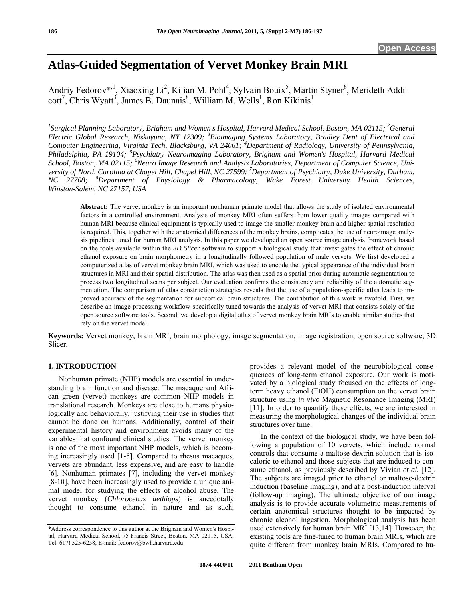# **Atlas-Guided Segmentation of Vervet Monkey Brain MRI**

Andriy Fedorov\*<sup>, 1</sup>, Xiaoxing Li<sup>2</sup>, Kilian M. Pohl<sup>4</sup>, Sylvain Bouix<sup>5</sup>, Martin Styner<sup>6</sup>, Merideth Addi- $\text{cot}^7$ , Chris Wyatt<sup>3</sup>, James B. Daunais<sup>8</sup>, William M. Wells<sup>1</sup>, Ron Kikinis<sup>1</sup>

<sup>1</sup> Surgical Planning Laboratory, Brigham and Women's Hospital, Harvard Medical School, Boston, MA 02115; <sup>2</sup>General *Electric Global Research, Niskayuna, NY 12309; <sup>3</sup> Bioimaging Systems Laboratory, Bradley Dept of Electrical and Computer Engineering, Virginia Tech, Blacksburg, VA 24061; <sup>4</sup> Department of Radiology, University of Pennsylvania,*  Philadelphia, PA 19104; <sup>5</sup>Psychiatry Neuroimaging Laboratory, Brigham and Women's Hospital, Harvard Medical School, Boston, MA 02115; <sup>6</sup>Neuro Image Research and Analysis Laboratories, Department of Computer Science, Uni*versity of North Carolina at Chapel Hill, Chapel Hill, NC 27599; <sup>7</sup> Department of Psychiatry, Duke University, Durham, NC 27708; <sup>8</sup> Department of Physiology & Pharmacology, Wake Forest University Health Sciences, Winston-Salem, NC 27157, USA* 

**Abstract:** The vervet monkey is an important nonhuman primate model that allows the study of isolated environmental factors in a controlled environment. Analysis of monkey MRI often suffers from lower quality images compared with human MRI because clinical equipment is typically used to image the smaller monkey brain and higher spatial resolution is required. This, together with the anatomical differences of the monkey brains, complicates the use of neuroimage analysis pipelines tuned for human MRI analysis. In this paper we developed an open source image analysis framework based on the tools available within the *3D Slicer* software to support a biological study that investigates the effect of chronic ethanol exposure on brain morphometry in a longitudinally followed population of male vervets. We first developed a computerized atlas of vervet monkey brain MRI, which was used to encode the typical appearance of the individual brain structures in MRI and their spatial distribution. The atlas was then used as a spatial prior during automatic segmentation to process two longitudinal scans per subject. Our evaluation confirms the consistency and reliability of the automatic segmentation. The comparison of atlas construction strategies reveals that the use of a population-specific atlas leads to improved accuracy of the segmentation for subcortical brain structures. The contribution of this work is twofold. First, we describe an image processing workflow specifically tuned towards the analysis of vervet MRI that consists solely of the open source software tools. Second, we develop a digital atlas of vervet monkey brain MRIs to enable similar studies that rely on the vervet model.

**Keywords:** Vervet monkey, brain MRI, brain morphology, image segmentation, image registration, open source software, 3D Slicer.

# **1. INTRODUCTION**

 Nonhuman primate (NHP) models are essential in understanding brain function and disease. The macaque and African green (vervet) monkeys are common NHP models in translational research. Monkeys are close to humans physiologically and behaviorally, justifying their use in studies that cannot be done on humans. Additionally, control of their experimental history and environment avoids many of the variables that confound clinical studies. The vervet monkey is one of the most important NHP models, which is becoming increasingly used [1-5]. Compared to rhesus macaques, vervets are abundant, less expensive, and are easy to handle [6]. Nonhuman primates [7], including the vervet monkey [8-10], have been increasingly used to provide a unique animal model for studying the effects of alcohol abuse. The vervet monkey (*Chlorocebus aethiops*) is anecdotally thought to consume ethanol in nature and as such, provides a relevant model of the neurobiological consequences of long-term ethanol exposure. Our work is motivated by a biological study focused on the effects of longterm heavy ethanol (EtOH) consumption on the vervet brain structure using *in vivo* Magnetic Resonance Imaging (MRI) [11]. In order to quantify these effects, we are interested in measuring the morphological changes of the individual brain structures over time.

 In the context of the biological study, we have been following a population of 10 vervets, which include normal controls that consume a maltose-dextrin solution that is isocaloric to ethanol and those subjects that are induced to consume ethanol, as previously described by Vivian *et al*. [12]. The subjects are imaged prior to ethanol or maltose-dextrin induction (baseline imaging), and at a post-induction interval (follow-up imaging). The ultimate objective of our image analysis is to provide accurate volumetric measurements of certain anatomical structures thought to be impacted by chronic alcohol ingestion. Morphological analysis has been used extensively for human brain MRI [13,14]. However, the existing tools are fine-tuned to human brain MRIs, which are quite different from monkey brain MRIs. Compared to hu-

<sup>\*</sup>Address correspondence to this author at the Brigham and Women's Hospital, Harvard Medical School, 75 Francis Street, Boston, MA 02115, USA; Tel: 617) 525-6258; E-mail: fedorov@bwh.harvard.edu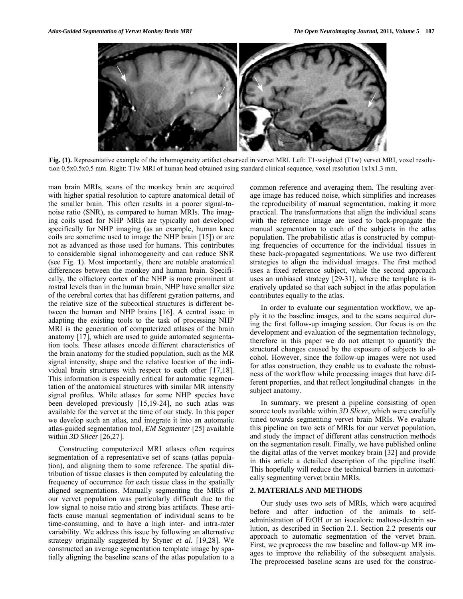

**Fig. (1).** Representative example of the inhomogeneity artifact observed in vervet MRI. Left: T1-weighted (T1w) vervet MRI, voxel resolution 0.5x0.5x0.5 mm. Right: T1w MRI of human head obtained using standard clinical sequence, voxel resolution 1x1x1.3 mm.

man brain MRIs, scans of the monkey brain are acquired with higher spatial resolution to capture anatomical detail of the smaller brain. This often results in a poorer signal-tonoise ratio (SNR), as compared to human MRIs. The imaging coils used for NHP MRIs are typically not developed specifically for NHP imaging (as an example, human knee coils are sometime used to image the NHP brain [15]) or are not as advanced as those used for humans. This contributes to considerable signal inhomogeneity and can reduce SNR (see Fig. **1**). Most importantly, there are notable anatomical differences between the monkey and human brain. Specifically, the olfactory cortex of the NHP is more prominent at rostral levels than in the human brain, NHP have smaller size of the cerebral cortex that has different gyration patterns, and the relative size of the subcortical structures is different between the human and NHP brains [16]. A central issue in adapting the existing tools to the task of processing NHP MRI is the generation of computerized atlases of the brain anatomy [17], which are used to guide automated segmentation tools. These atlases encode different characteristics of the brain anatomy for the studied population, such as the MR signal intensity, shape and the relative location of the individual brain structures with respect to each other [17,18]. This information is especially critical for automatic segmentation of the anatomical structures with similar MR intensity signal profiles. While atlases for some NHP species have been developed previously [15,19-24], no such atlas was available for the vervet at the time of our study. In this paper we develop such an atlas, and integrate it into an automatic atlas-guided segmentation tool, *EM Segmenter* [25] available within *3D Slicer* [26,27].

 Constructing computerized MRI atlases often requires segmentation of a representative set of scans (atlas population), and aligning them to some reference. The spatial distribution of tissue classes is then computed by calculating the frequency of occurrence for each tissue class in the spatially aligned segmentations. Manually segmenting the MRIs of our vervet population was particularly difficult due to the low signal to noise ratio and strong bias artifacts. These artifacts cause manual segmentation of individual scans to be time-consuming, and to have a high inter- and intra-rater variability. We address this issue by following an alternative strategy originally suggested by Styner *et al*. [19,28]. We constructed an average segmentation template image by spatially aligning the baseline scans of the atlas population to a

common reference and averaging them. The resulting average image has reduced noise, which simplifies and increases the reproducibility of manual segmentation, making it more practical. The transformations that align the individual scans with the reference image are used to back-propagate the manual segmentation to each of the subjects in the atlas population. The probabilistic atlas is constructed by computing frequencies of occurrence for the individual tissues in these back-propagated segmentations. We use two different strategies to align the individual images. The first method uses a fixed reference subject, while the second approach uses an unbiased strategy [29-31], where the template is iteratively updated so that each subject in the atlas population contributes equally to the atlas.

 In order to evaluate our segmentation workflow, we apply it to the baseline images, and to the scans acquired during the first follow-up imaging session. Our focus is on the development and evaluation of the segmentation technology, therefore in this paper we do not attempt to quantify the structural changes caused by the exposure of subjects to alcohol. However, since the follow-up images were not used for atlas construction, they enable us to evaluate the robustness of the workflow while processing images that have different properties, and that reflect longitudinal changes in the subject anatomy.

 In summary, we present a pipeline consisting of open source tools available within *3D Slicer*, which were carefully tuned towards segmenting vervet brain MRIs. We evaluate this pipeline on two sets of MRIs for our vervet population, and study the impact of different atlas construction methods on the segmentation result. Finally, we have published online the digital atlas of the vervet monkey brain [32] and provide in this article a detailed description of the pipeline itself. This hopefully will reduce the technical barriers in automatically segmenting vervet brain MRIs.

# **2. MATERIALS AND METHODS**

 Our study uses two sets of MRIs, which were acquired before and after induction of the animals to selfadministration of EtOH or an isocaloric maltose-dextrin solution, as described in Section 2.1. Section 2.2 presents our approach to automatic segmentation of the vervet brain. First, we preprocess the raw baseline and follow-up MR images to improve the reliability of the subsequent analysis. The preprocessed baseline scans are used for the construc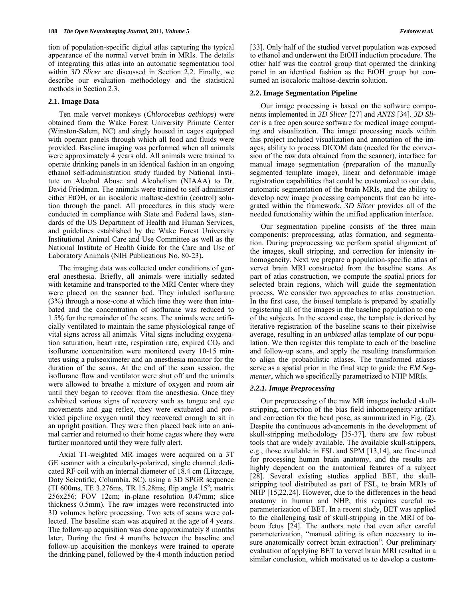tion of population-specific digital atlas capturing the typical appearance of the normal vervet brain in MRIs. The details of integrating this atlas into an automatic segmentation tool within *3D Slicer* are discussed in Section 2.2. Finally, we describe our evaluation methodology and the statistical methods in Section 2.3.

# **2.1. Image Data**

 Ten male vervet monkeys (*Chlorocebus aethiops*) were obtained from the Wake Forest University Primate Center (Winston-Salem, NC) and singly housed in cages equipped with operant panels through which all food and fluids were provided. Baseline imaging was performed when all animals were approximately 4 years old. All animals were trained to operate drinking panels in an identical fashion in an ongoing ethanol self-administration study funded by National Institute on Alcohol Abuse and Alcoholism (NIAAA) to Dr. David Friedman. The animals were trained to self-administer either EtOH, or an isocaloric maltose-dextrin (control) solution through the panel. All procedures in this study were conducted in compliance with State and Federal laws, standards of the US Department of Health and Human Services, and guidelines established by the Wake Forest University Institutional Animal Care and Use Committee as well as the National Institute of Health Guide for the Care and Use of Laboratory Animals (NIH Publications No. 80-23)*.* 

 The imaging data was collected under conditions of general anesthesia. Briefly, all animals were initially sedated with ketamine and transported to the MRI Center where they were placed on the scanner bed. They inhaled isoflurane (3%) through a nose-cone at which time they were then intubated and the concentration of isoflurane was reduced to 1.5% for the remainder of the scans. The animals were artificially ventilated to maintain the same physiological range of vital signs across all animals. Vital signs including oxygenation saturation, heart rate, respiration rate, expired  $CO<sub>2</sub>$  and isoflurane concentration were monitored every 10-15 minutes using a pulseoximeter and an anesthesia monitor for the duration of the scans. At the end of the scan session, the isoflurane flow and ventilator were shut off and the animals were allowed to breathe a mixture of oxygen and room air until they began to recover from the anesthesia. Once they exhibited various signs of recovery such as tongue and eye movements and gag reflex, they were extubated and provided pipeline oxygen until they recovered enough to sit in an upright position. They were then placed back into an animal carrier and returned to their home cages where they were further monitored until they were fully alert.

 Axial T1-weighted MR images were acquired on a 3T GE scanner with a circularly-polarized, single channel dedicated RF coil with an internal diameter of 18.4 cm (Litzcage, Doty Scientific, Columbia, SC), using a 3D SPGR sequence (TI 600ms, TE  $3.276$ ms, TR  $15.28$ ms; flip angle  $15^\circ$ ; matrix 256x256; FOV 12cm; in-plane resolution 0.47mm; slice thickness 0.5mm). The raw images were reconstructed into 3D volumes before processing. Two sets of scans were collected. The baseline scan was acquired at the age of 4 years. The follow-up acquisition was done approximately 8 months later. During the first 4 months between the baseline and follow-up acquisition the monkeys were trained to operate the drinking panel, followed by the 4 month induction period

[33]. Only half of the studied vervet population was exposed to ethanol and underwent the EtOH induction procedure. The other half was the control group that operated the drinking panel in an identical fashion as the EtOH group but consumed an isocaloric maltose-dextrin solution.

# **2.2. Image Segmentation Pipeline**

 Our image processing is based on the software components implemented in *3D Slicer* [27] and *ANTS* [34]. *3D Slicer* is a free open source software for medical image computing and visualization. The image processing needs within this project included visualization and annotation of the images, ability to process DICOM data (needed for the conversion of the raw data obtained from the scanner), interface for manual image segmentation (preparation of the manually segmented template image), linear and deformable image registration capabilities that could be customized to our data, automatic segmentation of the brain MRIs, and the ability to develop new image processing components that can be integrated within the framework. *3D Slicer* provides all of the needed functionality within the unified application interface.

 Our segmentation pipeline consists of the three main components: preprocessing, atlas formation, and segmentation. During preprocessing we perform spatial alignment of the images, skull stripping, and correction for intensity inhomogeneity. Next we prepare a population-specific atlas of vervet brain MRI constructed from the baseline scans. As part of atlas construction, we compute the spatial priors for selected brain regions, which will guide the segmentation process. We consider two approaches to atlas construction. In the first case, the *biased* template is prepared by spatially registering all of the images in the baseline population to one of the subjects. In the second case, the template is derived by iterative registration of the baseline scans to their pixelwise average, resulting in an *unbiased* atlas template of our population. We then register this template to each of the baseline and follow-up scans, and apply the resulting transformation to align the probabilistic atlases. The transformed atlases serve as a spatial prior in the final step to guide the *EM Segmenter*, which we specifically parametrized to NHP MRIs.

# *2.2.1. Image Preprocessing*

 Our preprocessing of the raw MR images included skullstripping, correction of the bias field inhomogeneity artifact and correction for the head pose, as summarized in Fig. (**2**). Despite the continuous advancements in the development of skull-stripping methodology [35-37], there are few robust tools that are widely available. The available skull-strippers, e.g., those available in FSL and SPM [13,14], are fine-tuned for processing human brain anatomy, and the results are highly dependent on the anatomical features of a subject [28]. Several existing studies applied BET, the skullstripping tool distributed as part of FSL, to brain MRIs of NHP [15,22,24]. However, due to the differences in the head anatomy in human and NHP, this requires careful reparameterization of BET. In a recent study, BET was applied to the challenging task of skull-stripping in the MRI of baboon fetus [24]. The authors note that even after careful parameterization, "manual editing is often necessary to insure anatomically correct brain extraction". Our preliminary evaluation of applying BET to vervet brain MRI resulted in a similar conclusion, which motivated us to develop a custom-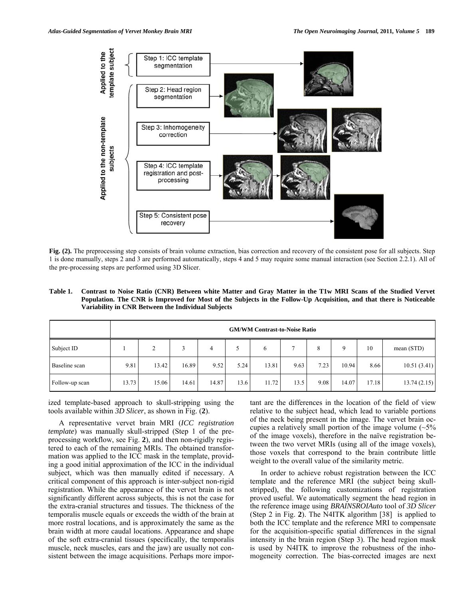

**Fig. (2).** The preprocessing step consists of brain volume extraction, bias correction and recovery of the consistent pose for all subjects. Step 1 is done manually, steps 2 and 3 are performed automatically, steps 4 and 5 may require some manual interaction (see Section 2.2.1). All of the pre-processing steps are performed using 3D Slicer.

**Table 1. Contrast to Noise Ratio (CNR) Between white Matter and Gray Matter in the T1w MRI Scans of the Studied Vervet Population. The CNR is Improved for Most of the Subjects in the Follow-Up Acquisition, and that there is Noticeable Variability in CNR Between the Individual Subjects** 

|                | <b>GM/WM Contrast-to-Noise Ratio</b> |       |       |       |      |       |      |      |       |       |              |
|----------------|--------------------------------------|-------|-------|-------|------|-------|------|------|-------|-------|--------------|
| Subject ID     |                                      | ∠     |       | 4     |      | 6     |      | 8    |       | 10    | mean $(STD)$ |
| Baseline scan  | 9.81                                 | 13.42 | 16.89 | 9.52  | 5.24 | 13.81 | 9.63 | 7.23 | 10.94 | 8.66  | 10.51(3.41)  |
| Follow-up scan | 13.73                                | 15.06 | 14.61 | 14.87 | 13.6 | 11.72 | 13.5 | 9.08 | 14.07 | 17.18 | 13.74(2.15)  |

ized template-based approach to skull-stripping using the tools available within *3D Slicer*, as shown in Fig. (**2**).

 A representative vervet brain MRI (*ICC registration template*) was manually skull-stripped (Step 1 of the preprocessing workflow, see Fig. **2**), and then non-rigidly registered to each of the remaining MRIs. The obtained transformation was applied to the ICC mask in the template, providing a good initial approximation of the ICC in the individual subject, which was then manually edited if necessary. A critical component of this approach is inter-subject non-rigid registration. While the appearance of the vervet brain is not significantly different across subjects, this is not the case for the extra-cranial structures and tissues. The thickness of the temporalis muscle equals or exceeds the width of the brain at more rostral locations, and is approximately the same as the brain width at more caudal locations. Appearance and shape of the soft extra-cranial tissues (specifically, the temporalis muscle, neck muscles, ears and the jaw) are usually not consistent between the image acquisitions. Perhaps more important are the differences in the location of the field of view relative to the subject head, which lead to variable portions of the neck being present in the image. The vervet brain occupies a relatively small portion of the image volume  $(\sim 5\%$ of the image voxels), therefore in the naïve registration between the two vervet MRIs (using all of the image voxels), those voxels that correspond to the brain contribute little weight to the overall value of the similarity metric.

 In order to achieve robust registration between the ICC template and the reference MRI (the subject being skullstripped), the following customizations of registration proved useful. We automatically segment the head region in the reference image using *BRAINSROIAuto* tool of *3D Slicer* (Step 2 in Fig. **2**). The N4ITK algorithm [38] is applied to both the ICC template and the reference MRI to compensate for the acquisition-specific spatial differences in the signal intensity in the brain region (Step 3). The head region mask is used by N4ITK to improve the robustness of the inhomogeneity correction. The bias-corrected images are next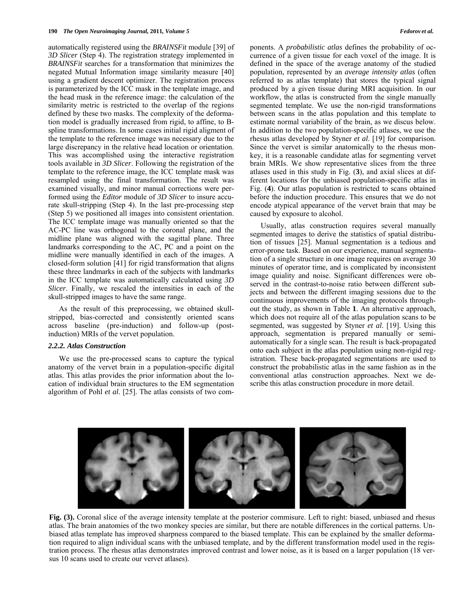automatically registered using the *BRAINSFit* module [39] of *3D Slicer* (Step 4). The registration strategy implemented in *BRAINSFit* searches for a transformation that minimizes the negated Mutual Information image similarity measure [40] using a gradient descent optimizer. The registration process is parameterized by the ICC mask in the template image, and the head mask in the reference image: the calculation of the similarity metric is restricted to the overlap of the regions defined by these two masks. The complexity of the deformation model is gradually increased from rigid, to affine, to Bspline transformations. In some cases initial rigid aligment of the template to the reference image was necessary due to the large discrepancy in the relative head location or orientation. This was accomplished using the interactive registration tools available in *3D Slicer*. Following the registration of the template to the reference image, the ICC template mask was resampled using the final transformation. The result was examined visually, and minor manual corrections were performed using the *Editor* module of *3D Slicer* to insure accurate skull-stripping (Step 4). In the last pre-processing step (Step 5) we positioned all images into consistent orientation. The ICC template image was manually oriented so that the AC-PC line was orthogonal to the coronal plane, and the midline plane was aligned with the sagittal plane. Three landmarks corresponding to the AC, PC and a point on the midline were manually identified in each of the images. A closed-form solution [41] for rigid transformation that aligns these three landmarks in each of the subjects with landmarks in the ICC template was automatically calculated using *3D Slicer*. Finally, we rescaled the intensities in each of the skull-stripped images to have the same range.

 As the result of this preprocessing, we obtained skullstripped, bias-corrected and consistently oriented scans across baseline (pre-induction) and follow-up (postinduction) MRIs of the vervet population.

# *2.2.2. Atlas Construction*

 We use the pre-processed scans to capture the typical anatomy of the vervet brain in a population-specific digital atlas. This atlas provides the prior information about the location of individual brain structures to the EM segmentation algorithm of Pohl *et al*. [25]. The atlas consists of two components. A *probabilistic atlas* defines the probability of occurrence of a given tissue for each voxel of the image. It is defined in the space of the average anatomy of the studied population, represented by an *average intensity atlas* (often referred to as atlas template) that stores the typical signal produced by a given tissue during MRI acquisition. In our workflow, the atlas is constructed from the single manually segmented template. We use the non-rigid transformations between scans in the atlas population and this template to estimate normal variability of the brain, as we discus below. In addition to the two population-specific atlases, we use the rhesus atlas developed by Styner *et al*. [19] for comparison. Since the vervet is similar anatomically to the rhesus monkey, it is a reasonable candidate atlas for segmenting vervet brain MRIs. We show representative slices from the three atlases used in this study in Fig. (**3**), and axial slices at different locations for the unbiased population-specific atlas in Fig. (**4**). Our atlas population is restricted to scans obtained before the induction procedure. This ensures that we do not encode atypical appearance of the vervet brain that may be caused by exposure to alcohol.

 Usually, atlas construction requires several manually segmented images to derive the statistics of spatial distribution of tissues [25]. Manual segmentation is a tedious and error-prone task. Based on our experience, manual segmentation of a single structure in one image requires on average 30 minutes of operator time, and is complicated by inconsistent image quiality and noise. Significant differences were observed in the contrast-to-noise ratio between different subjects and between the different imaging sessions due to the continuous improvements of the imaging protocols throughout the study, as shown in Table **1**. An alternative approach, which does not require all of the atlas population scans to be segmented, was suggested by Styner *et al*. [19]. Using this approach, segmentation is prepared manually or semiautomatically for a single scan. The result is back-propagated onto each subject in the atlas population using non-rigid registration. These back-propagated segmentations are used to construct the probabilistic atlas in the same fashion as in the conventional atlas construction approaches. Next we describe this atlas construction procedure in more detail.



**Fig. (3).** Coronal slice of the average intensity template at the posterior commisure. Left to right: biased, unbiased and rhesus atlas. The brain anatomies of the two monkey species are similar, but there are notable differences in the cortical patterns. Unbiased atlas template has improved sharpness compared to the biased template. This can be explained by the smaller deformation required to align individual scans with the unbiased template, and by the different transformation model used in the registration process. The rhesus atlas demonstrates improved contrast and lower noise, as it is based on a larger population (18 versus 10 scans used to create our vervet atlases).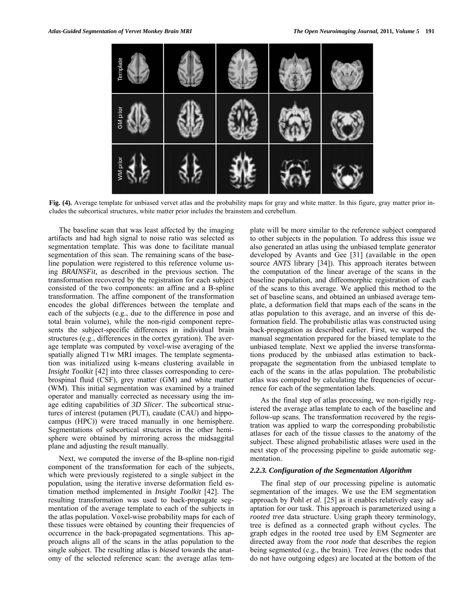

Fig. (4). Average template for unbiased vervet atlas and the probability maps for gray and white matter. In this figure, gray matter prior includes the subcortical structures, white matter prior includes the brainstem and cerebellum.

 The baseline scan that was least affected by the imaging artifacts and had high signal to noise ratio was selected as segmentation template. This was done to facilitate manual segmentation of this scan. The remaining scans of the baseline population were registered to this reference volume using *BRAINSFit,* as described in the previous section. The transformation recovered by the registration for each subject consisted of the two components: an affine and a B-spline transformation. The affine component of the transformation encodes the global differences between the template and each of the subjects (e.g., due to the difference in pose and total brain volume), while the non-rigid component represents the subject-specific differences in individual brain structures (e.g., differences in the cortex gyration). The average template was computed by voxel-wise averaging of the spatially aligned T1w MRI images. The template segmentation was initialized using k-means clustering available in *Insight Toolkit* [42] into three classes corresponding to cerebrospinal fluid (CSF), grey matter (GM) and white matter (WM). This initial segmentation was examined by a trained operator and manually corrected as necessary using the image editing capabilities of *3D Slicer*. The subcortical structures of interest (putamen (PUT), caudate (CAU) and hippocampus (HPC)) were traced manually in one hemisphere. Segmentations of subcortical structures in the other hemisphere were obtained by mirroring across the midsaggital plane and adjusting the result manually.

 Next, we computed the inverse of the B-spline non-rigid component of the transformation for each of the subjects, which were previously registered to a single subject in the population, using the iterative inverse deformation field estimation method implemented in *Insight Toolkit* [42]. The resulting transformation was used to back-propagate segmentation of the average template to each of the subjects in the atlas population. Voxel-wise probability maps for each of these tissues were obtained by counting their frequencies of occurrence in the back-propagated segmentations. This approach aligns all of the scans in the atlas population to the single subject. The resulting atlas is *biased* towards the anatomy of the selected reference scan: the average atlas template will be more similar to the reference subject compared to other subjects in the population. To address this issue we also generated an atlas using the unbiased template generator developed by Avants and Gee [31] (available in the open source *ANTS* library [34]). This approach iterates between the computation of the linear average of the scans in the baseline population, and diffeomorphic registration of each of the scans to this average. We applied this method to the set of baseline scans, and obtained an unbiased average template, a deformation field that maps each of the scans in the atlas population to this average, and an inverse of this deformation field. The probabilistic atlas was constructed using back-propagation as described earlier. First, we warped the manual segmentation prepared for the biased template to the unbiased template. Next we applied the inverse transformations produced by the unbiased atlas estimation to backpropagate the segmentation from the unbiased template to each of the scans in the atlas population. The probabilistic atlas was computed by calculating the frequencies of occurrence for each of the segmentation labels.

 As the final step of atlas processing, we non-rigidly registered the average atlas template to each of the baseline and follow-up scans. The transformation recovered by the registration was applied to warp the corresponding probabilistic atlases for each of the tissue classes to the anatomy of the subject. These aligned probabilistic atlases were used in the next step of the processing pipeline to guide automatic segmentation.

# *2.2.3. Configuration of the Segmentation Algorithm*

 The final step of our processing pipeline is automatic segmentation of the images. We use the EM segmentation approach by Pohl *et al.* [25] as it enables relatively easy adaptation for our task. This approach is parameterized using a *rooted tree* data structure. Using graph theory terminology, tree is defined as a connected graph without cycles. The graph edges in the rooted tree used by EM Segmenter are directed away from the *root node* that describes the region being segmented (e.g., the brain). Tree *leaves* (the nodes that do not have outgoing edges) are located at the bottom of the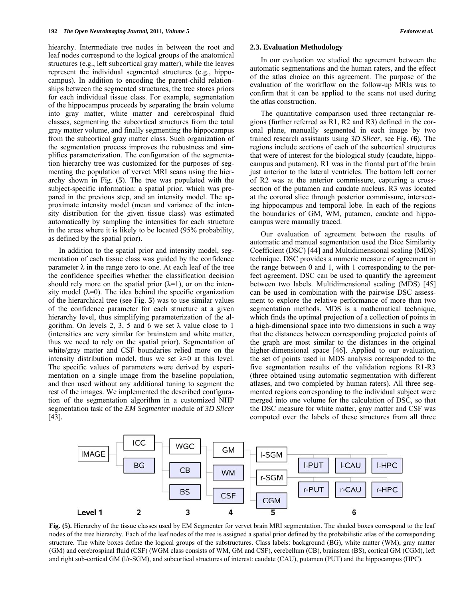hiearchy. Intermediate tree nodes in between the root and leaf nodes correspond to the logical groups of the anatomical structures (e.g., left subcortical gray matter), while the leaves represent the individual segmented structures (e.g., hippocampus). In addition to encoding the parent-child relationships between the segmented structures, the tree stores priors for each individual tissue class. For example, segmentation of the hippocampus proceeds by separating the brain volume into gray matter, white matter and cerebrospinal fluid classes, segmenting the subcortical structures from the total gray matter volume, and finally segmenting the hippocampus from the subcortical gray matter class. Such organization of the segmentation process improves the robustness and simplifies parameterization. The configuration of the segmentation hierarchy tree was customized for the purposes of segmenting the population of vervet MRI scans using the hierarchy shown in Fig. (**5**). The tree was populated with the subject-specific information: a spatial prior, which was prepared in the previous step, and an intensity model. The approximate intensity model (mean and variance of the intensity distribution for the given tissue class) was estimated automatically by sampling the intensities for each structure in the areas where it is likely to be located (95% probability, as defined by the spatial prior).

 In addition to the spatial prior and intensity model, segmentation of each tissue class was guided by the confidence parameter  $\lambda$  in the range zero to one. At each leaf of the tree the confidence specifies whether the classification decision should rely more on the spatial prior  $(\lambda=1)$ , or on the intensity model  $(\lambda=0)$ . The idea behind the specific organization of the hierarchical tree (see Fig. **5**) was to use similar values of the confidence parameter for each structure at a given hierarchy level, thus simplifying parameterization of the algorithm. On levels 2, 3, 5 and 6 we set  $\lambda$  value close to 1 (intensities are very similar for brainstem and white matter, thus we need to rely on the spatial prior). Segmentation of white/gray matter and CSF boundaries relied more on the intensity distribution model, thus we set  $\lambda \approx 0$  at this level. The specific values of parameters were derived by experimentation on a single image from the baseline population, and then used without any additional tuning to segment the rest of the images. We implemented the described configuration of the segmentation algorithm in a customized NHP segmentation task of the *EM Segmenter* module of *3D Slicer* [43]*.* 

### **2.3. Evaluation Methodology**

 In our evaluation we studied the agreement between the automatic segmentations and the human raters, and the effect of the atlas choice on this agreement. The purpose of the evaluation of the workflow on the follow-up MRIs was to confirm that it can be applied to the scans not used during the atlas construction.

The quantitative comparison used three rectangular regions (further referred as R1, R2 and R3) defined in the coronal plane, manually segmented in each image by two trained research assistants using *3D Slicer,* see Fig. (**6**). The regions include sections of each of the subcortical structures that were of interest for the biological study (caudate, hippocampus and putamen). R1 was in the frontal part of the brain just anterior to the lateral ventricles. The bottom left corner of R2 was at the anterior commissure, capturing a crosssection of the putamen and caudate nucleus. R3 was located at the coronal slice through posterior commissure, intersecting hippocampus and temporal lobe. In each of the regions the boundaries of GM, WM, putamen, caudate and hippocampus were manually traced.

 Our evaluation of agreement between the results of automatic and manual segmentation used the Dice Similarity Coefficient (DSC) [44] and Multidimensional scaling (MDS) technique. DSC provides a numeric measure of agreement in the range between 0 and 1, with 1 corresponding to the perfect agreement. DSC can be used to quantify the agreement between two labels. Multidimensional scaling (MDS) [45] can be used in combination with the pairwise DSC assessment to explore the relative performance of more than two segmentation methods. MDS is a mathematical technique, which finds the optimal projection of a collection of points in a high-dimensional space into two dimensions in such a way that the distances between corresponding projected points of the graph are most similar to the distances in the original higher-dimensional space [46]. Applied to our evaluation, the set of points used in MDS analysis corresponded to the five segmentation results of the validation regions R1-R3 (three obtained using automatic segmentation with different atlases, and two completed by human raters). All three segmented regions corresponding to the individual subject were merged into one volume for the calculation of DSC, so that the DSC measure for white matter, gray matter and CSF was computed over the labels of these structures from all three



Fig. (5). Hierarchy of the tissue classes used by EM Segmenter for vervet brain MRI segmentation. The shaded boxes correspond to the leaf nodes of the tree hierarchy. Each of the leaf nodes of the tree is assigned a spatial prior defined by the probabilistic atlas of the corresponding structure. The white boxes define the logical groups of the substructures. Class labels: background (BG), white matter (WM), gray matter (GM) and cerebrospinal fluid (CSF) (WGM class consists of WM, GM and CSF), cerebellum (CB), brainstem (BS), cortical GM (CGM), left and right sub-cortical GM (l/r-SGM), and subcortical structures of interest: caudate (CAU), putamen (PUT) and the hippocampus (HPC).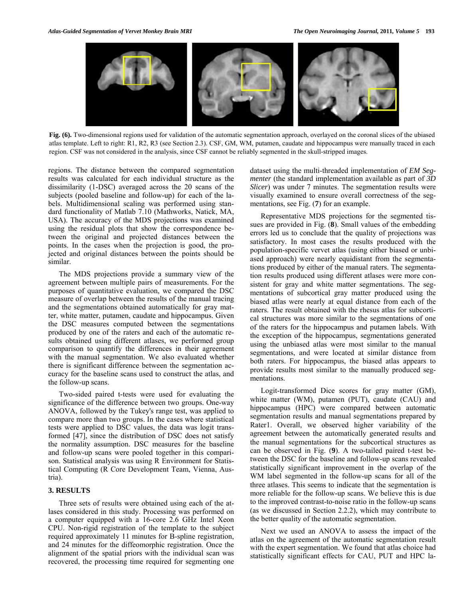

**Fig. (6).** Two-dimensional regions used for validation of the automatic segmentation approach, overlayed on the coronal slices of the ubiased atlas template. Left to right: R1, R2, R3 (see Section 2.3). CSF, GM, WM, putamen, caudate and hippocampus were manually traced in each region. CSF was not considered in the analysis, since CSF cannot be reliably segmented in the skull-stripped images.

regions. The distance between the compared segmentation results was calculated for each individual structure as the dissimilarity (1-DSC) averaged across the 20 scans of the subjects (pooled baseline and follow-up) for each of the labels. Multidimensional scaling was performed using standard functionality of Matlab 7.10 (Mathworks, Natick, MA, USA). The accuracy of the MDS projections was examined using the residual plots that show the correspondence between the original and projected distances between the points. In the cases when the projection is good, the projected and original distances between the points should be similar.

 The MDS projections provide a summary view of the agreement between multiple pairs of measurements. For the purposes of quantitative evaluation, we compared the DSC measure of overlap between the results of the manual tracing and the segmentations obtained automatically for gray matter, white matter, putamen, caudate and hippocampus. Given the DSC measures computed between the segmentations produced by one of the raters and each of the automatic results obtained using different atlases, we performed group comparison to quantify the differences in their agreement with the manual segmentation. We also evaluated whether there is significant difference between the segmentation accuracy for the baseline scans used to construct the atlas, and the follow-up scans.

 Two-sided paired t-tests were used for evaluating the significance of the difference between two groups. One-way ANOVA, followed by the Tukey's range test, was applied to compare more than two groups. In the cases where statistical tests were applied to DSC values, the data was logit transformed [47], since the distribution of DSC does not satisfy the normality assumption. DSC measures for the baseline and follow-up scans were pooled together in this comparison. Statistical analysis was using R Environment for Statistical Computing (R Core Development Team, Vienna, Austria).

# **3. RESULTS**

 Three sets of results were obtained using each of the atlases considered in this study. Processing was performed on a computer equipped with a 16-core 2.6 GHz Intel Xeon CPU. Non-rigid registration of the template to the subject required approximately 11 minutes for B-spline registration, and 24 minutes for the diffeomorphic registration. Once the alignment of the spatial priors with the individual scan was recovered, the processing time required for segmenting one dataset using the multi-threaded implementation of *EM Segmenter* (the standard implementation available as part of *3D Slicer*) was under 7 minutes. The segmentation results were visually examined to ensure overall correctness of the segmentations, see Fig. (**7**) for an example.

 Representative MDS projections for the segmented tissues are provided in Fig. (**8**). Small values of the embedding errors led us to conclude that the quality of projections was satisfactory. In most cases the results produced with the population-specific vervet atlas (using either biased or unbiased approach) were nearly equidistant from the segmentations produced by either of the manual raters. The segmentation results produced using different atlases were more consistent for gray and white matter segmentations. The segmentations of subcortical gray matter produced using the biased atlas were nearly at equal distance from each of the raters. The result obtained with the rhesus atlas for subcortical structures was more similar to the segmentations of one of the raters for the hippocampus and putamen labels. With the exception of the hippocampus, segmentations generated using the unbiased atlas were most similar to the manual segmentations, and were located at similar distance from both raters. For hippocampus, the biased atlas appears to provide results most similar to the manually produced segmentations.

 Logit-transformed Dice scores for gray matter (GM), white matter (WM), putamen (PUT), caudate (CAU) and hippocampus (HPC) were compared between automatic segmentation results and manual segmentations prepared by Rater1. Overall, we observed higher variability of the agreement between the automatically generated results and the manual segmentations for the subcortical structures as can be observed in Fig. (**9**). A two-tailed paired t-test between the DSC for the baseline and follow-up scans revealed statistically significant improvement in the overlap of the WM label segmented in the follow-up scans for all of the three atlases. This seems to indicate that the segmentation is more reliable for the follow-up scans. We believe this is due to the improved contrast-to-noise ratio in the follow-up scans (as we discussed in Section 2.2.2), which may contribute to the better quality of the automatic segmentation.

 Next we used an ANOVA to assess the impact of the atlas on the agreement of the automatic segmentation result with the expert segmentation. We found that atlas choice had statistically significant effects for CAU, PUT and HPC la-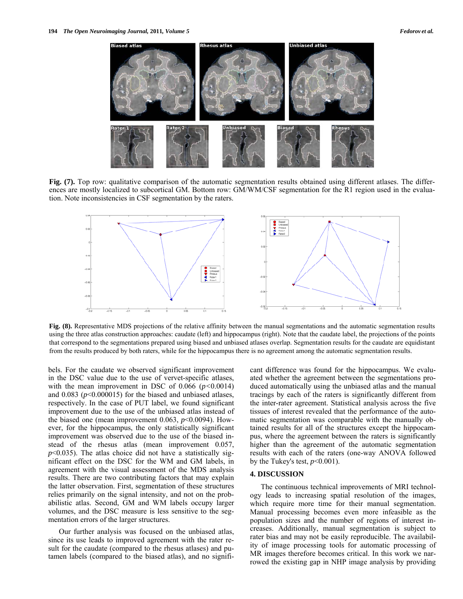

**Fig. (7).** Top row: qualitative comparison of the automatic segmentation results obtained using different atlases. The differences are mostly localized to subcortical GM. Bottom row: GM/WM/CSF segmentation for the R1 region used in the evaluation. Note inconsistencies in CSF segmentation by the raters.



**Fig. (8).** Representative MDS projections of the relative affinity between the manual segmentations and the automatic segmentation results using the three atlas construction approaches: caudate (left) and hippocampus (right). Note that the caudate label, the projections of the points that correspond to the segmentations prepared using biased and unbiased atlases overlap. Segmentation results for the caudate are equidistant from the results produced by both raters, while for the hippocampus there is no agreement among the automatic segmentation results.

bels. For the caudate we observed significant improvement in the DSC value due to the use of vervet-specific atlases, with the mean improvement in DSC of 0.066 (*p<*0.0014) and  $0.083$  ( $p<0.000015$ ) for the biased and unbiased atlases, respectively. In the case of PUT label, we found significant improvement due to the use of the unbiased atlas instead of the biased one (mean improvement  $0.063$ ,  $p<0.0094$ ). However, for the hippocampus, the only statistically significant improvement was observed due to the use of the biased instead of the rhesus atlas (mean improvement 0.057,  $p$ <0.035). The atlas choice did not have a statistically significant effect on the DSC for the WM and GM labels, in agreement with the visual assessment of the MDS analysis results. There are two contributing factors that may explain the latter observation. First, segmentation of these structures relies primarily on the signal intensity, and not on the probabilistic atlas. Second, GM and WM labels occupy larger volumes, and the DSC measure is less sensitive to the segmentation errors of the larger structures.

 Our further analysis was focused on the unbiased atlas, since its use leads to improved agreement with the rater result for the caudate (compared to the rhesus atlases) and putamen labels (compared to the biased atlas), and no significant difference was found for the hippocampus. We evaluated whether the agreement between the segmentations produced automatically using the unbiased atlas and the manual tracings by each of the raters is significantly different from the inter-rater agreement. Statistical analysis across the five tissues of interest revealed that the performance of the automatic segmentation was comparable with the manually obtained results for all of the structures except the hippocampus, where the agreement between the raters is significantly higher than the agreement of the automatic segmentation results with each of the raters (one-way ANOVA followed by the Tukey's test,  $p<0.001$ ).

# **4. DISCUSSION**

 The continuous technical improvements of MRI technology leads to increasing spatial resolution of the images, which require more time for their manual segmentation. Manual processing becomes even more infeasible as the population sizes and the number of regions of interest increases. Additionally, manual segmentation is subject to rater bias and may not be easily reproducible. The availability of image processing tools for automatic processing of MR images therefore becomes critical. In this work we narrowed the existing gap in NHP image analysis by providing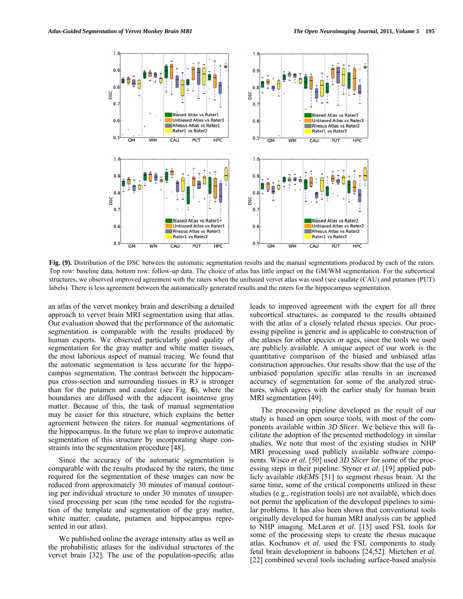

**Fig. (9).** Distribution of the DSC between the automatic segmentation results and the manual segmentations produced by each of the raters. Top row: baseline data, bottom row: follow-up data. The choice of atlas has little impact on the GM/WM segmentation. For the subcortical structures, we observed improved agreement with the raters when the unibased vervet atlas was used (see caudate (CAU) and putamen (PUT) labels). There is less agreement between the automatically generated results and the raters for the hippocampus segmentation.

an atlas of the vervet monkey brain and describing a detailed approach to vervet brain MRI segmentation using that atlas. Our evaluation showed that the performance of the automatic segmentation is comparable with the results produced by human experts. We observed particularly good quality of segmentation for the gray matter and white matter tissues, the most laborious aspect of manual tracing. We found that the automatic segmentation is less accurate for the hippocampus segmentation. The contrast between the hippocampus cross-section and surrounding tissues in R3 is stronger than for the putamen and caudate (see Fig. **6**), where the boundaries are diffused with the adjacent isointense gray matter. Because of this, the task of manual segmentation may be easier for this structure, which explains the better agreement between the raters for manual segmentations of the hippocampus. In the future we plan to improve automatic segmentation of this structure by incorporating shape constraints into the segmentation procedure [48].

 Since the accuracy of the automatic segmentation is comparable with the results produced by the raters, the time required for the segmentation of these images can now be reduced from approximately 30 minutes of manual contouring per individual structure to under 30 minutes of unsupervised processing per scan (the time needed for the registration of the template and segmentation of the gray matter, white matter, caudate, putamen and hippocampus represented in our atlas).

 We published online the average intensity atlas as well as the probabilistic atlases for the individual structures of the vervet brain [32]. The use of the population-specific atlas leads to improved agreement with the expert for all three subcortical structures, as compared to the results obtained with the atlas of a closely related rhesus species. Our processing pipeline is generic and is applicable to construction of the atlases for other species or ages, since the tools we used are publicly available. A unique aspect of our work is the quantitative comparison of the biased and unbiased atlas construction approaches. Our results show that the use of the unbiased population specific atlas results in an increased accuracy of segmentation for some of the analyzed structures, which agrees with the earlier study for human brain MRI segmentation [49].

 The processing pipeline developed as the result of our study is based on open source tools, with most of the components available within *3D Slicer.* We believe this will facilitate the adoption of the presented methodology in similar studies. We note that most of the existing studies in NHP MRI processing used publicly available software components. Wisco *et al*. [50] used *3D Slicer* for some of the processing steps in their pipeline. Styner *et al*. [19] applied publicly available *itkEMS* [51] to segment rhesus brain. At the same time, some of the critical components utilized in these studies (e.g., registration tools) are not available, which does not permit the application of the developed pipelines to similar problems. It has also been shown that conventional tools originally developed for human MRI analysis can be applied to NHP imaging. McLaren *et al*. [15] used FSL tools for some of the processing steps to create the rhesus macaque atlas. Kochunov *et al*. used the FSL components to study fetal brain development in baboons [24,52]. Mietchen *et al*. [22] combined several tools including surface-based analysis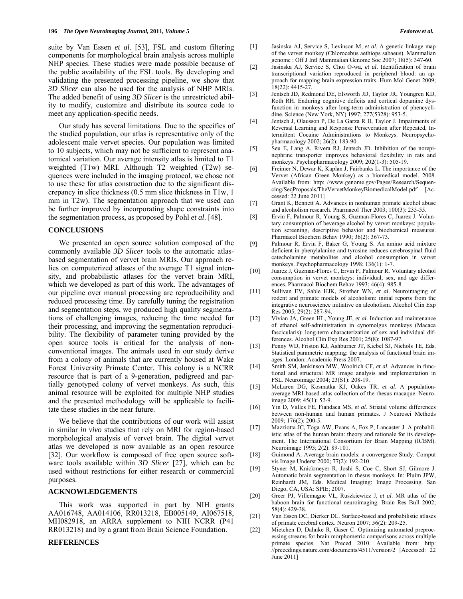suite by Van Essen *et al*. [53], FSL and custom filtering components for morphological brain analysis across multiple NHP species. These studies were made possible because of the public availability of the FSL tools. By developing and validating the presented processing pipeline, we show that *3D Slicer* can also be used for the analysis of NHP MRIs. The added benefit of using *3D Slicer* is the unrestricted ability to modify, customize and distribute its source code to meet any application-specific needs.

 Our study has several limitations. Due to the specifics of the studied population, our atlas is representative only of the adolescent male vervet species. Our population was limited to 10 subjects, which may not be sufficient to represent anatomical variation. Our average intensity atlas is limited to T1 weighted (T1w) MRI. Although T2 weighted (T2w) sequences were included in the imaging protocol, we chose not to use these for atlas construction due to the significant discrepancy in slice thickness (0.5 mm slice thickness in T1w, 1 mm in T2w). The segmentation approach that we used can be further improved by incorporating shape constraints into the segmentation process, as proposed by Pohl *et al*. [48].

# **CONCLUSIONS**

 We presented an open source solution composed of the commonly available *3D Slicer* tools to the automatic atlasbased segmentation of vervet brain MRIs. Our approach relies on computerized atlases of the average T1 signal intensity, and probabilistic atlases for the vervet brain MRI, which we developed as part of this work. The advantages of our pipeline over manual processing are reproducibility and reduced processing time. By carefully tuning the registration and segmentation steps, we produced high quality segmentations of challenging images, reducing the time needed for their processing, and improving the segmentation reproducibility. The flexibility of parameter tuning provided by the open source tools is critical for the analysis of nonconventional images. The animals used in our study derive from a colony of animals that are currently housed at Wake Forest University Primate Center. This colony is a NCRR resource that is part of a 9-generation, pedigreed and partially genotyped colony of vervet monkeys. As such, this animal resource will be exploited for multiple NHP studies and the presented methodology will be applicable to facilitate these studies in the near future.

 We believe that the contributions of our work will assist in similar *in vivo* studies that rely on MRI for region-based morphological analysis of vervet brain. The digital vervet atlas we developed is now available as an open resource [32]. Our workflow is composed of free open source software tools available within *3D Slicer* [27], which can be used without restrictions for either research or commercial purposes.

# **ACKNOWLEDGEMENTS**

 This work was supported in part by NIH grants AA016748, AA014106, RR013218, EB005149, AI067518, MH082918, an ARRA supplement to NIH NCRR (P41 RR013218) and by a grant from Brain Science Foundation.

#### **REFERENCES**

- [1] Jasinska AJ, Service S, Levinson M, *et al*. A genetic linkage map of the vervet monkey (Chlorocebus aethiops sabaeus). Mammalian genome : Off J Intl Mammalian Genome Soc 2007; 18(5): 347-60.
- [2] Jasinska AJ, Service S, Choi O-wa, *et al*. Identification of brain transcriptional variation reproduced in peripheral blood: an approach for mapping brain expression traits. Hum Mol Genet 2009; 18(22): 4415-27.
- [3] Jentsch JD, Redmond DE, Elsworth JD, Taylor JR, Youngren KD, Roth RH. Enduring cognitive deficits and cortical dopamine dysfunction in monkeys after long-term administration of phencyclidine. Science (New York, NY) 1997; 277(5328): 953-5.
- [4] Jentsch J, Olausson P, De La Garza R II, Taylor J. Impairments of Reversal Learning and Response Perseveration after Repeated, Intermittent Cocaine Administrations to Monkeys. Neuropsychopharmacology 2002; 26(2): 183-90.
- [5] Seu E, Lang A, Rivera RJ, Jentsch JD. Inhibition of the norepinephrine transporter improves behavioral flexibility in rats and monkeys. Psychopharmacology 2009; 202(1-3): 505-19.
- [6] Freimer N, Dewar K, Kaplan J, Fairbanks L. The importance of the Vervet (African Green Monkey) as a biomedical model. 2008. Available from: http: //www.genome.gov/Pages/Research/Sequencing/SeqProposals/TheVervetMonkeyBiomedicalModel.pdf [Accessed: 22 June 2011]
- [7] Grant K, Bennett A. Advances in nonhuman primate alcohol abuse and alcoholism research. Pharmacol Ther 2003; 100(3): 235-55.
- [8] Ervin F, Palmour R, Young S, Guzman-Flores C, Juarez J. Voluntary consumption of beverage alcohol by vervet monkeys: population screening, descriptive behavior and biochemical measures. Pharmacol Biochem Behav 1990; 36(2): 367-73.
- [9] Palmour R, Ervin F, Baker G, Young S. An amino acid mixture deficient in phenylalanine and tyrosine reduces cerebrospinal fluid catecholamine metabolites and alcohol consumption in vervet monkeys. Psychopharmacology 1998; 136(1): 1-7.
- [10] Juarez J, Guzman-Flores C, Ervin F, Palmour R. Voluntary alcohol consumption in vervet monkeys: individual, sex, and age differences. Pharmacol Biochem Behav 1993; 46(4): 985-8.
- [11] Sullivan EV, Sable HJK, Strother WN, *et al*. Neuroimaging of rodent and primate models of alcoholism: initial reports from the integrative neuroscience initiative on alcoholism. Alcohol Clin Exp Res 2005; 29(2): 287-94.
- [12] Vivian JA, Green HL, Young JE, *et al*. Induction and maintenance of ethanol self-administration in cynomolgus monkeys (Macaca fascicularis): long-term characterization of sex and individual differences. Alcohol Clin Exp Res 2001; 25(8): 1087-97.
- [13] Penny WD, Friston KJ, Ashburner JT, Kiebel SJ, Nichols TE, Eds. Statistical parametric mapping: the analysis of functional brain images. London: Academic Press 2007.
- [14] Smith SM, Jenkinson MW, Woolrich CF, *et al*. Advances in functional and structural MR image analysis and implementation in FSL. Neuroimage 2004; 23(S1): 208-19.
- [15] McLaren DG, Kosmatka KJ, Oakes TR, *et al*. A populationaverage MRI-based atlas collection of the rhesus macaque. Neuroimage 2009; 45(1): 52-9.
- [16] Yin D, Valles FE, Fiandaca MS, *et al*. Striatal volume differences between non-human and human primates. J Neurosci Methods 2009; 176(2): 200-5.
- [17] Mazziotta JC, Toga AW, Evans A, Fox P, Lancaster J. A probabilistic atlas of the human brain: theory and rationale for its development. The International Consortium for Brain Mapping (ICBM). Neuroimage 1995; 2(2): 89-101.
- [18] Guimond A. Average brain models: a convergence Study. Comput vis Image Underst 2000; 77(2): 192-210.
- [19] Styner M, Knickmeyer R, Joshi S, Coe C, Short SJ, Gilmore J. Automatic brain segmentation in rhesus monkeys. In: Pluim JPW, Reinhardt JM, Eds. Medical Imaging: Image Processing. San Diego, CA, USA: SPIE; 2007.
- [20] Greer PJ, Villemagne VL, Ruszkiewicz J, *et al*. MR atlas of the baboon brain for functional neuroimaging. Brain Res Bull 2002; 58(4): 429-38.
- [21] Van Essen DC, Dierker DL. Surface-based and probabilistic atlases of primate cerebral cortex. Neuron 2007; 56(2): 209-25.
- [22] Mietchen D, Dahnke R, Gaser C. Optimizing automated preprocessing streams for brain morphometric comparisons across multiple primate species. Nat Preced 2010. Available from: http: //precedings.nature.com/documents/4511/version/2 [Accessed: 22 June 2011]